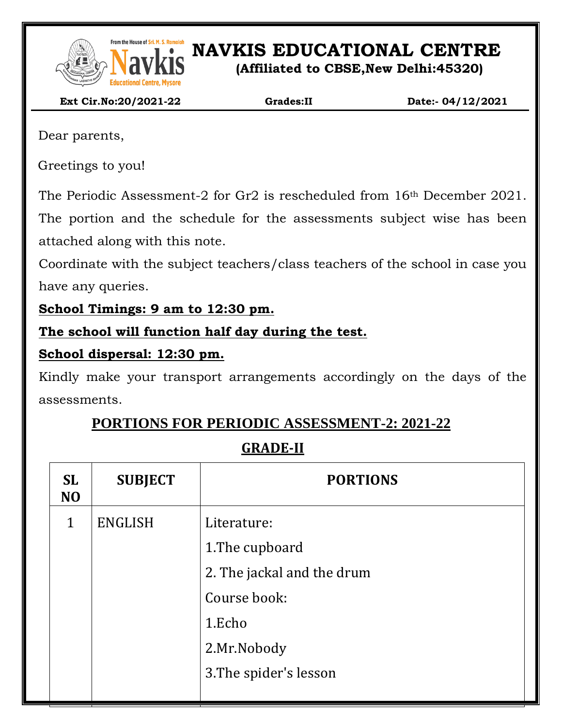

From the House of Sri. M. S. Ramaidah<br>**NAVIS EDUCATIONAL CENTRE** 

**(Affiliated to CBSE,New Delhi:45320)**

 **Ext Cir.No:20/2021-22 Grades:II Date:- 04/12/2021**

Dear parents,

Greetings to you!

The Periodic Assessment-2 for Gr2 is rescheduled from 16th December 2021.

The portion and the schedule for the assessments subject wise has been attached along with this note.

Coordinate with the subject teachers/class teachers of the school in case you have any queries.

**School Timings: 9 am to 12:30 pm.**

## **The school will function half day during the test.**

### **School dispersal: 12:30 pm.**

Kindly make your transport arrangements accordingly on the days of the assessments.

# **PORTIONS FOR PERIODIC ASSESSMENT-2: 2021-22**

# **GRADE-II**

| <b>SL</b><br>N <sub>O</sub> | <b>SUBJECT</b> | <b>PORTIONS</b>            |  |
|-----------------------------|----------------|----------------------------|--|
| $\mathbf{1}$                | <b>ENGLISH</b> | Literature:                |  |
|                             |                | 1. The cupboard            |  |
|                             |                | 2. The jackal and the drum |  |
|                             |                | Course book:               |  |
|                             |                | 1.Echo                     |  |
|                             |                | 2.Mr.Nobody                |  |
|                             |                | 3. The spider's lesson     |  |
|                             |                |                            |  |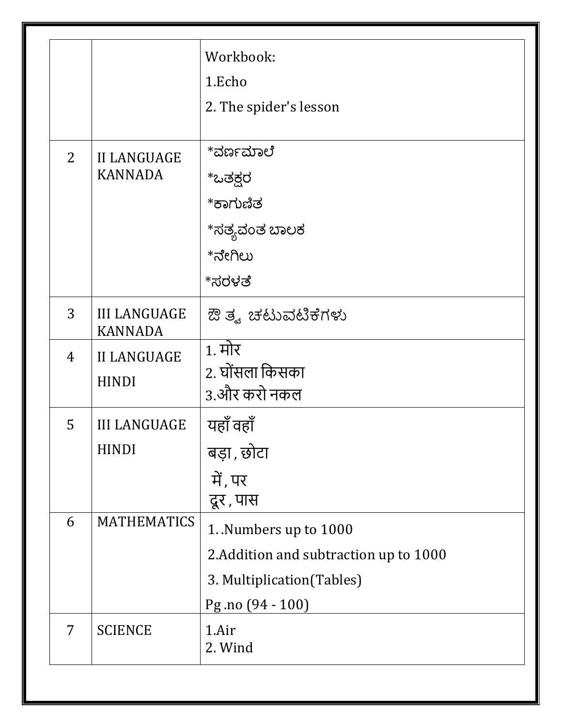|                |                                       | Workbook:                              |
|----------------|---------------------------------------|----------------------------------------|
|                |                                       | 1.Echo                                 |
|                |                                       | 2. The spider's lesson                 |
|                |                                       |                                        |
| $\overline{2}$ | <b>II LANGUAGE</b>                    | *ವರ್ಣಮಾಲೆ                              |
|                | <b>KANNADA</b>                        | *ಒತಕ್ಷರ                                |
|                |                                       | *ಕಾಗುಣಿತ                               |
|                |                                       | *ಸತ್ಯವಂತ ಬಾಲಕ                          |
|                |                                       | *ನೇಗಿಲು                                |
|                |                                       | *ಸರಳತೆ                                 |
| 3              | <b>III LANGUAGE</b><br><b>KANNADA</b> | ಔ ತ್ವ ಚಟುವಟಿಕೆಗಳು                      |
| 4              | <b>II LANGUAGE</b>                    | <u>1. मोर</u>                          |
|                | <b>HINDI</b>                          | 2. घोंसला किसका                        |
|                |                                       | 3.और करो नकल                           |
| 5              | <b>III LANGUAGE</b><br><b>HINDI</b>   | यहाँ वहाँ                              |
|                |                                       | बड़ा, छोटा                             |
|                |                                       | में, पर                                |
|                |                                       | दूर, पास                               |
| 6              | <b>MATHEMATICS</b>                    | 1. Numbers up to 1000                  |
|                |                                       | 2. Addition and subtraction up to 1000 |
|                |                                       | 3. Multiplication (Tables)             |
|                |                                       | Pg.no (94 - 100)                       |
| 7              | <b>SCIENCE</b>                        | 1.Air                                  |
|                |                                       | 2. Wind                                |